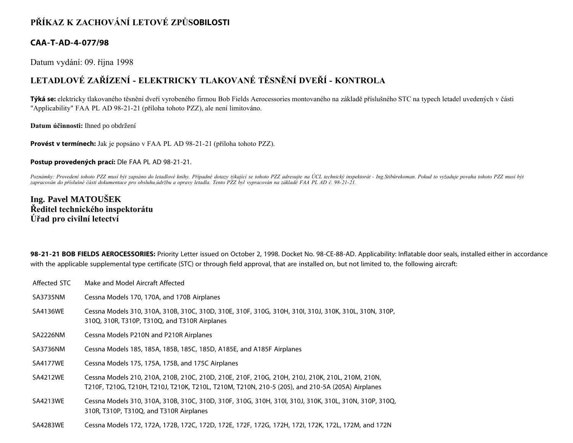## **PŘÍKAZ K ZACHOVÁNÍ LETOVÉ ZPŮSOBILOSTI**

### **CAA-T-AD-4-077/98**

Datum vydání: 09. října 1998

# **LETADLOVÉ ZAŘÍZENÍ - ELEKTRICKY TLAKOVANÉ TĚSNĚNÍ DVEŘÍ - KONTROLA**

**Týká se:** elektricky tlakovaného těsnění dveří vyrobeného firmou Bob Fields Aerocessories montovaného na základě příslušného STC na typech letadel uvedených v části "Applicability" FAA PL AD 98-21-21 (příloha tohoto PZZ), ale není limitováno.

**Datum účinnosti:** Ihned po obdržení

**Provést v termínech:** Jak je popsáno v FAA PL AD 98-21-21 (příloha tohoto PZZ).

**Postup provedených prací:** Dle FAA PL AD 98-21-21.

*Poznámky: Provedení tohoto PZZ musí být zapsáno do letadlové knihy. Případné dotazy týkající se tohoto PZZ adresujte na ÚCL technický inspektorát - Ing.Stibůrekoman. Pokud to vyžaduje povaha tohoto PZZ musí být zapracován do příslušné části dokumentace pro obsluhu,údržbu a opravy letadla. Tento PZZ byl vypracován na základě FAA PL AD č. 98-21-21.*

## **Ing. Pavel MATOUŠEK Ředitel technického inspektorátu Úřad pro civilní letectví**

**98-21-21 BOB FIELDS AEROCESSORIES:** Priority Letter issued on October 2, 1998. Docket No. 98-CE-88-AD. Applicability: Inflatable door seals, installed either in accordance with the applicable supplemental type certificate (STC) or through field approval, that are installed on, but not limited to, the following aircraft:

Affected STC Make and Model Aircraft Affected SA3735NM Cessna Models 170, 170A, and 170B Airplanes SA4136WE Cessna Models 310, 310A, 310B, 310C, 310D, 310E, 310F, 310G, 310H, 310I, 310J, 310K, 310L, 310N, 310P, 310Q, 310R, T310P, T310Q, and T310R Airplanes SA2226NM Cessna Models P210N and P210R Airplanes SA3736NM Cessna Models 185, 185A, 185B, 185C, 185D, A185E, and A185F Airplanes SA4177WE Cessna Models 175, 175A, 175B, and 175C Airplanes SA4212WE Cessna Models 210, 210A, 210B, 210C, 210D, 210E, 210F, 210G, 210H, 210J, 210K, 210L, 210M, 210N, T210F, T210G, T210H, T210J, T210K, T210L, T210M, T210N, 210-5 (205), and 210-5A (205A) Airplanes SA4213WE Cessna Models 310, 310A, 310B, 310C, 310D, 310F, 310G, 310H, 310I, 310J, 310K, 310L, 310N, 310P, 310Q, 310R, T310P, T310Q, and T310R Airplanes SA4283WE Cessna Models 172, 172A, 172B, 172C, 172D, 172E, 172F, 172G, 172H, 172I, 172K, 172L, 172M, and 172N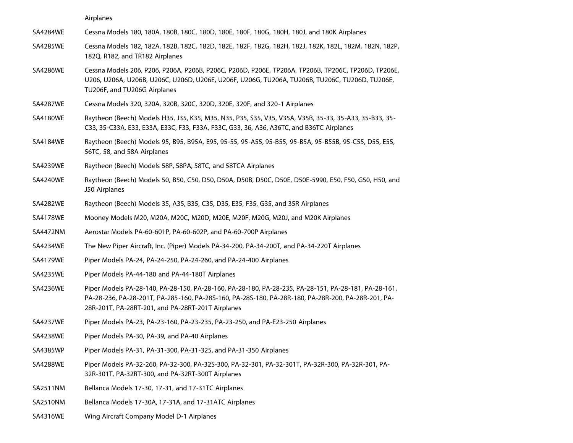Airplanes

SA4284WE Cessna Models 180, 180A, 180B, 180C, 180D, 180E, 180F, 180G, 180H, 180J, and 180K Airplanes

- SA4285WE Cessna Models 182, 182A, 182B, 182C, 182D, 182E, 182F, 182G, 182H, 182J, 182K, 182L, 182M, 182N, 182P, 182Q, R182, and TR182 Airplanes
- SA4286WE Cessna Models 206, P206, P206A, P206B, P206C, P206D, P206E, TP206A, TP206B, TP206C, TP206D, TP206E, U206, U206A, U206B, U206C, U206D, U206E, U206F, U206G, TU206A, TU206B, TU206C, TU206D, TU206E, TU206F, and TU206G Airplanes
- SA4287WE Cessna Models 320, 320A, 320B, 320C, 320D, 320E, 320F, and 320-1 Airplanes
- SA4180WE Raytheon (Beech) Models H35, J35, K35, M35, N35, P35, S35, V35, V35A, V35B, 35-33, 35-A33, 35-B33, 35- C33, 35-C33A, E33, E33A, E33C, F33, F33A, F33C, G33, 36, A36, A36TC, and B36TC Airplanes
- SA4184WE Raytheon (Beech) Models 95, B95, B95A, E95, 95-55, 95-A55, 95-B55, 95-B5A, 95-B55B, 95-C55, D55, E55, 56TC, 58, and 58A Airplanes
- SA4239WE Raytheon (Beech) Models 58P, 58PA, 58TC, and 58TCA Airplanes
- SA4240WE Raytheon (Beech) Models 50, B50, C50, D50, D50A, D50B, D50C, D50E, D50E-5990, E50, F50, G50, H50, and J50 Airplanes
- SA4282WE Raytheon (Beech) Models 35, A35, B35, C35, D35, E35, F35, G35, and 35R Airplanes
- SA4178WE Mooney Models M20, M20A, M20C, M20D, M20E, M20F, M20G, M20J, and M20K Airplanes
- SA4472NM Aerostar Models PA-60-601P, PA-60-602P, and PA-60-700P Airplanes
- SA4234WE The New Piper Aircraft, Inc. (Piper) Models PA-34-200, PA-34-200T, and PA-34-220T Airplanes
- SA4179WE Piper Models PA-24, PA-24-250, PA-24-260, and PA-24-400 Airplanes
- SA4235WE Piper Models PA-44-180 and PA-44-180T Airplanes
- SA4236WE Piper Models PA-28-140, PA-28-150, PA-28-160, PA-28-180, PA-28-235, PA-28-151, PA-28-181, PA-28-161, PA-28-236, PA-28-201T, PA-285-160, PA-28S-160, PA-28S-180, PA-28R-180, PA-28R-200, PA-28R-201, PA-28R-201T, PA-28RT-201, and PA-28RT-201T Airplanes
- SA4237WE Piper Models PA-23, PA-23-160, PA-23-235, PA-23-250, and PA-E23-250 Airplanes
- SA4238WE Piper Models PA-30, PA-39, and PA-40 Airplanes
- SA4385WP Piper Models PA-31, PA-31-300, PA-31-325, and PA-31-350 Airplanes
- SA4288WE Piper Models PA-32-260, PA-32-300, PA-32S-300, PA-32-301, PA-32-301T, PA-32R-300, PA-32R-301, PA-32R-301T, PA-32RT-300, and PA-32RT-300T Airplanes
- SA2511NM Bellanca Models 17-30, 17-31, and 17-31TC Airplanes
- SA2510NM Bellanca Models 17-30A, 17-31A, and 17-31ATC Airplanes
- SA4316WE Wing Aircraft Company Model D-1 Airplanes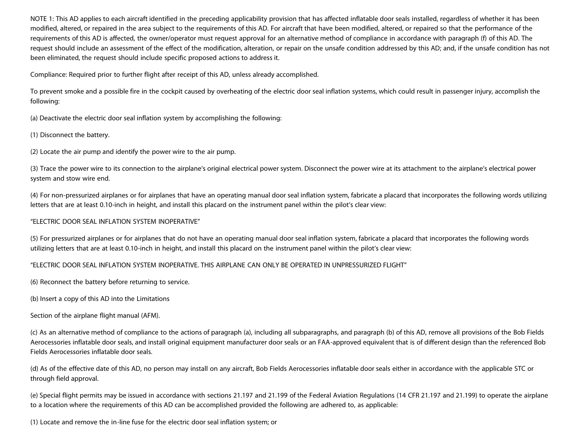NOTE 1: This AD applies to each aircraft identified in the preceding applicability provision that has affected inflatable door seals installed, regardless of whether it has been modified, altered, or repaired in the area subject to the requirements of this AD. For aircraft that have been modified, altered, or repaired so that the performance of the requirements of this AD is affected, the owner/operator must request approval for an alternative method of compliance in accordance with paragraph (f) of this AD. The request should include an assessment of the effect of the modification, alteration, or repair on the unsafe condition addressed by this AD; and, if the unsafe condition has not been eliminated, the request should include specific proposed actions to address it.

Compliance: Required prior to further flight after receipt of this AD, unless already accomplished.

To prevent smoke and a possible fire in the cockpit caused by overheating of the electric door seal inflation systems, which could result in passenger injury, accomplish the following:

(a) Deactivate the electric door seal inflation system by accomplishing the following:

(1) Disconnect the battery.

(2) Locate the air pump and identify the power wire to the air pump.

(3) Trace the power wire to its connection to the airplane's original electrical power system. Disconnect the power wire at its attachment to the airplane's electrical power system and stow wire end.

(4) For non-pressurized airplanes or for airplanes that have an operating manual door seal inflation system, fabricate a placard that incorporates the following words utilizing letters that are at least 0.10-inch in height, and install this placard on the instrument panel within the pilot's clear view:

#### "ELECTRIC DOOR SEAL INFLATION SYSTEM INOPERATIVE"

(5) For pressurized airplanes or for airplanes that do not have an operating manual door seal inflation system, fabricate a placard that incorporates the following words utilizing letters that are at least 0.10-inch in height, and install this placard on the instrument panel within the pilot's clear view:

#### "ELECTRIC DOOR SEAL INFLATION SYSTEM INOPERATIVE. THIS AIRPLANE CAN ONLY BE OPERATED IN UNPRESSURIZED FLIGHT"

(6) Reconnect the battery before returning to service.

(b) Insert a copy of this AD into the Limitations

Section of the airplane flight manual (AFM).

(c) As an alternative method of compliance to the actions of paragraph (a), including all subparagraphs, and paragraph (b) of this AD, remove all provisions of the Bob Fields Aerocessories inflatable door seals, and install original equipment manufacturer door seals or an FAA-approved equivalent that is of different design than the referenced Bob Fields Aerocessories inflatable door seals.

(d) As of the effective date of this AD, no person may install on any aircraft, Bob Fields Aerocessories inflatable door seals either in accordance with the applicable STC or through field approval.

(e) Special flight permits may be issued in accordance with sections 21.197 and 21.199 of the Federal Aviation Regulations (14 CFR 21.197 and 21.199) to operate the airplane to a location where the requirements of this AD can be accomplished provided the following are adhered to, as applicable:

(1) Locate and remove the in-line fuse for the electric door seal inflation system; or